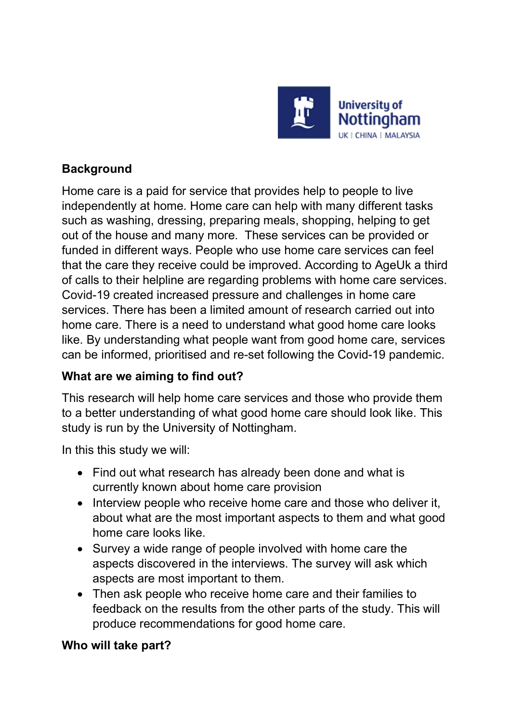

# **Background**

Home care is a paid for service that provides help to people to live independently at home. Home care can help with many different tasks such as washing, dressing, preparing meals, shopping, helping to get out of the house and many more. These services can be provided or funded in different ways. People who use home care services can feel that the care they receive could be improved. According to AgeUk a third of calls to their helpline are regarding problems with home care services. Covid-19 created increased pressure and challenges in home care services. There has been a limited amount of research carried out into home care. There is a need to understand what good home care looks like. By understanding what people want from good home care, services can be informed, prioritised and re-set following the Covid-19 pandemic.

## What are we aiming to find out?

This research will help home care services and those who provide them to a better understanding of what good home care should look like. This study is run by the University of Nottingham.

In this this study we will:

- Find out what research has already been done and what is currently known about home care provision
- Interview people who receive home care and those who deliver it, about what are the most important aspects to them and what good home care looks like.
- Survey a wide range of people involved with home care the aspects discovered in the interviews. The survey will ask which aspects are most important to them.
- Then ask people who receive home care and their families to feedback on the results from the other parts of the study. This will produce recommendations for good home care.

## Who will take part?